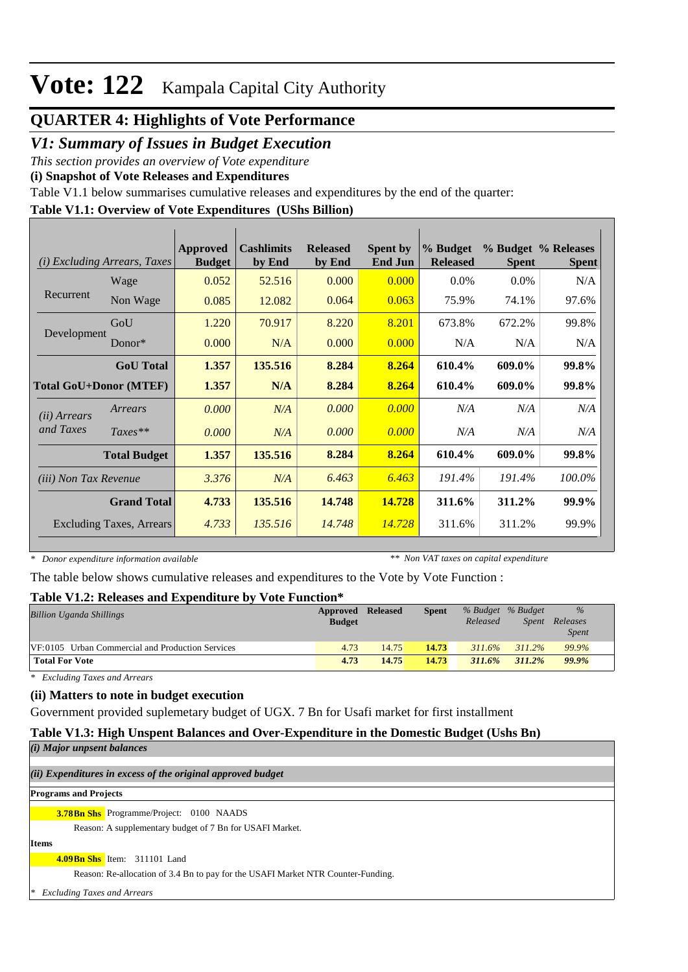## **QUARTER 4: Highlights of Vote Performance**

### *V1: Summary of Issues in Budget Execution*

*This section provides an overview of Vote expenditure* 

**(i) Snapshot of Vote Releases and Expenditures**

Table V1.1 below summarises cumulative releases and expenditures by the end of the quarter:

#### **Table V1.1: Overview of Vote Expenditures (UShs Billion)**

| (i)                   | <b>Excluding Arrears, Taxes</b> | Approved<br><b>Budget</b> | <b>Cashlimits</b><br>by End | <b>Released</b><br>by End | <b>Spent by</b><br><b>End Jun</b> | % Budget<br><b>Released</b> | <b>Spent</b> | % Budget % Releases<br><b>Spent</b> |
|-----------------------|---------------------------------|---------------------------|-----------------------------|---------------------------|-----------------------------------|-----------------------------|--------------|-------------------------------------|
|                       | Wage                            | 0.052                     | 52.516                      | 0.000                     | 0.000                             | $0.0\%$                     | $0.0\%$      | N/A                                 |
| Recurrent             | Non Wage                        | 0.085                     | 12.082                      | 0.064                     | 0.063                             | 75.9%                       | 74.1%        | 97.6%                               |
|                       | GoU                             | 1.220                     | 70.917                      | 8.220                     | 8.201                             | 673.8%                      | 672.2%       | 99.8%                               |
| Development           | Donor $*$                       | 0.000                     | N/A                         | 0.000                     | 0.000                             | N/A                         | N/A          | N/A                                 |
|                       | <b>GoU</b> Total                | 1.357                     | 135.516                     | 8.284                     | 8.264                             | 610.4%                      | 609.0%       | 99.8%                               |
|                       | <b>Total GoU+Donor (MTEF)</b>   | 1.357                     | N/A                         | 8.284                     | 8.264                             | 610.4%                      | 609.0%       | 99.8%                               |
| ( <i>ii</i> ) Arrears | Arrears                         | 0.000                     | N/A                         | 0.000                     | 0.000                             | N/A                         | N/A          | N/A                                 |
| and Taxes             | $Taxes**$                       | 0.000                     | N/A                         | 0.000                     | 0.000                             | N/A                         | N/A          | N/A                                 |
|                       | <b>Total Budget</b>             | 1.357                     | 135.516                     | 8.284                     | 8.264                             | 610.4%                      | 609.0%       | 99.8%                               |
| (iii) Non Tax Revenue |                                 | 3.376                     | N/A                         | 6.463                     | 6.463                             | 191.4%                      | 191.4%       | 100.0%                              |
|                       | <b>Grand Total</b>              | 4.733                     | 135.516                     | 14.748                    | 14.728                            | 311.6%                      | 311.2%       | 99.9%                               |
|                       | <b>Excluding Taxes, Arrears</b> | 4.733                     | 135.516                     | 14.748                    | 14.728                            | 311.6%                      | 311.2%       | 99.9%                               |

*\* Donor expenditure information available*

*\*\* Non VAT taxes on capital expenditure*

The table below shows cumulative releases and expenditures to the Vote by Vote Function :

#### **Table V1.2: Releases and Expenditure by Vote Function\***

| ---------------                                  |                   |       |              |          |                   |              |  |
|--------------------------------------------------|-------------------|-------|--------------|----------|-------------------|--------------|--|
| <b>Billion Uganda Shillings</b>                  | Approved Released |       | <b>Spent</b> |          | % Budget % Budget | $\%$         |  |
|                                                  | <b>Budget</b>     |       |              | Released | Spent             | Releases     |  |
|                                                  |                   |       |              |          |                   | <i>Spent</i> |  |
| VF:0105 Urban Commercial and Production Services | 4.73              | 14.75 | 14.73        | 311.6%   | $311.2\%$         | 99.9%        |  |
| <b>Total For Vote</b>                            | 4.73              | 14.75 | 14.73        | 311.6%   | 311.2%            | 99.9%        |  |

*\* Excluding Taxes and Arrears*

#### **(ii) Matters to note in budget execution**

Government provided suplemetary budget of UGX. 7 Bn for Usafi market for first installment

## **Table V1.3: High Unspent Balances and Over-Expenditure in the Domestic Budget (Ushs Bn)**

| (i) Major unpsent balances                                                       |  |
|----------------------------------------------------------------------------------|--|
| (ii) Expenditures in excess of the original approved budget                      |  |
| <b>Programs and Projects</b>                                                     |  |
| <b>3.78Bn Shs</b> Programme/Project: 0100 NAADS                                  |  |
| Reason: A supplementary budget of 7 Bn for USAFI Market.                         |  |
| <b>Items</b>                                                                     |  |
| 4.09Bn Shs Item: 311101 Land                                                     |  |
| Reason: Re-allocation of 3.4 Bn to pay for the USAFI Market NTR Counter-Funding. |  |
| <b>Excluding Taxes and Arrears</b><br>∗                                          |  |
|                                                                                  |  |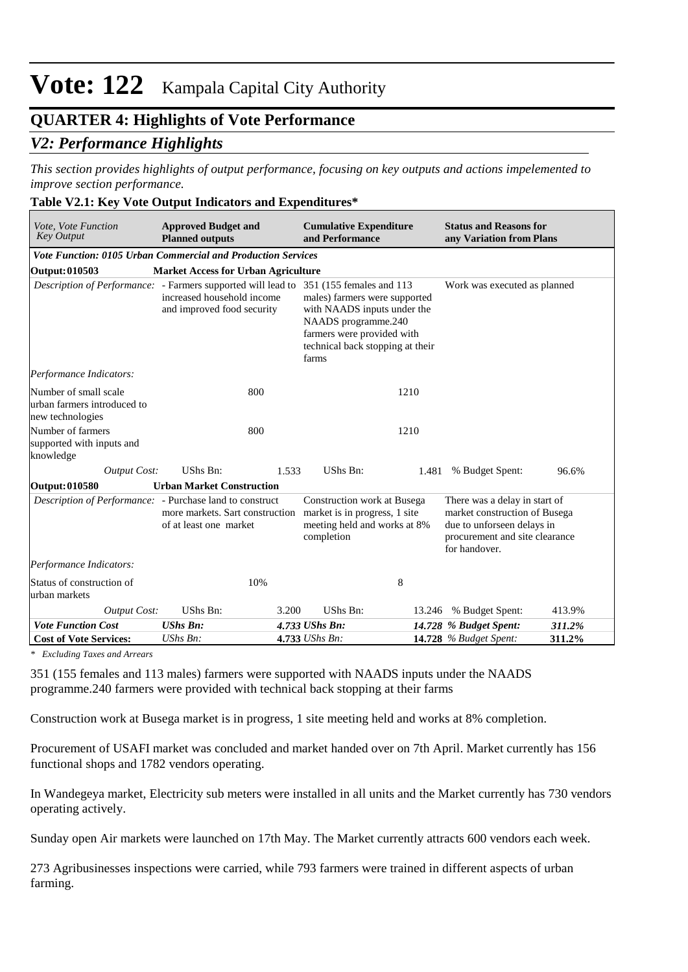### **QUARTER 4: Highlights of Vote Performance**

### *V2: Performance Highlights*

*This section provides highlights of output performance, focusing on key outputs and actions impelemented to improve section performance.*

#### **Table V2.1: Key Vote Output Indicators and Expenditures\***

| Vote, Vote Function<br><b>Key Output</b>                                 | <b>Approved Budget and</b><br><b>Planned outputs</b>      |                                                                                                                                                                                                                                                                                         | <b>Cumulative Expenditure</b><br>and Performance                                                           |  | <b>Status and Reasons for</b><br>any Variation from Plans                                                                                       |        |
|--------------------------------------------------------------------------|-----------------------------------------------------------|-----------------------------------------------------------------------------------------------------------------------------------------------------------------------------------------------------------------------------------------------------------------------------------------|------------------------------------------------------------------------------------------------------------|--|-------------------------------------------------------------------------------------------------------------------------------------------------|--------|
| <b>Vote Function: 0105 Urban Commercial and Production Services</b>      |                                                           |                                                                                                                                                                                                                                                                                         |                                                                                                            |  |                                                                                                                                                 |        |
| Output: 010503                                                           | <b>Market Access for Urban Agriculture</b>                |                                                                                                                                                                                                                                                                                         |                                                                                                            |  |                                                                                                                                                 |        |
|                                                                          | increased household income<br>and improved food security  | Description of Performance: - Farmers supported will lead to 351 (155 females and 113<br>Work was executed as planned<br>males) farmers were supported<br>with NAADS inputs under the<br>NAADS programme.240<br>farmers were provided with<br>technical back stopping at their<br>farms |                                                                                                            |  |                                                                                                                                                 |        |
| Performance Indicators:                                                  |                                                           |                                                                                                                                                                                                                                                                                         |                                                                                                            |  |                                                                                                                                                 |        |
| Number of small scale<br>urban farmers introduced to<br>new technologies | 800                                                       |                                                                                                                                                                                                                                                                                         | 1210                                                                                                       |  |                                                                                                                                                 |        |
| Number of farmers<br>supported with inputs and<br>knowledge              | 800                                                       |                                                                                                                                                                                                                                                                                         | 1210                                                                                                       |  |                                                                                                                                                 |        |
| <b>Output Cost:</b>                                                      | UShs Bn:                                                  | 1.533                                                                                                                                                                                                                                                                                   | UShs Bn:                                                                                                   |  | 1.481 % Budget Spent:                                                                                                                           | 96.6%  |
| <b>Output: 010580</b>                                                    | <b>Urban Market Construction</b>                          |                                                                                                                                                                                                                                                                                         |                                                                                                            |  |                                                                                                                                                 |        |
| <i>Description of Performance:</i> - Purchase land to construct          | more markets. Sart construction<br>of at least one market |                                                                                                                                                                                                                                                                                         | Construction work at Busega<br>market is in progress, 1 site<br>meeting held and works at 8%<br>completion |  | There was a delay in start of<br>market construction of Busega<br>due to unforseen delays in<br>procurement and site clearance<br>for handover. |        |
| Performance Indicators:                                                  |                                                           |                                                                                                                                                                                                                                                                                         |                                                                                                            |  |                                                                                                                                                 |        |
| Status of construction of<br>urban markets                               | 10%                                                       |                                                                                                                                                                                                                                                                                         | 8                                                                                                          |  |                                                                                                                                                 |        |
| Output Cost:                                                             | UShs Bn:                                                  | 3.200                                                                                                                                                                                                                                                                                   | UShs Bn:                                                                                                   |  | 13.246 % Budget Spent:                                                                                                                          | 413.9% |
| <b>Vote Function Cost</b>                                                | <b>UShs Bn:</b>                                           |                                                                                                                                                                                                                                                                                         | 4.733 UShs Bn:                                                                                             |  | 14.728 % Budget Spent:                                                                                                                          | 311.2% |
| <b>Cost of Vote Services:</b>                                            | UShs Bn:                                                  |                                                                                                                                                                                                                                                                                         | 4.733 UShs Bn:                                                                                             |  | <b>14.728</b> % Budget Spent:                                                                                                                   | 311.2% |

*\* Excluding Taxes and Arrears*

351 (155 females and 113 males) farmers were supported with NAADS inputs under the NAADS programme.240 farmers were provided with technical back stopping at their farms

Construction work at Busega market is in progress, 1 site meeting held and works at 8% completion.

Procurement of USAFI market was concluded and market handed over on 7th April. Market currently has 156 functional shops and 1782 vendors operating.

In Wandegeya market, Electricity sub meters were installed in all units and the Market currently has 730 vendors operating actively.

Sunday open Air markets were launched on 17th May. The Market currently attracts 600 vendors each week.

273 Agribusinesses inspections were carried, while 793 farmers were trained in different aspects of urban farming.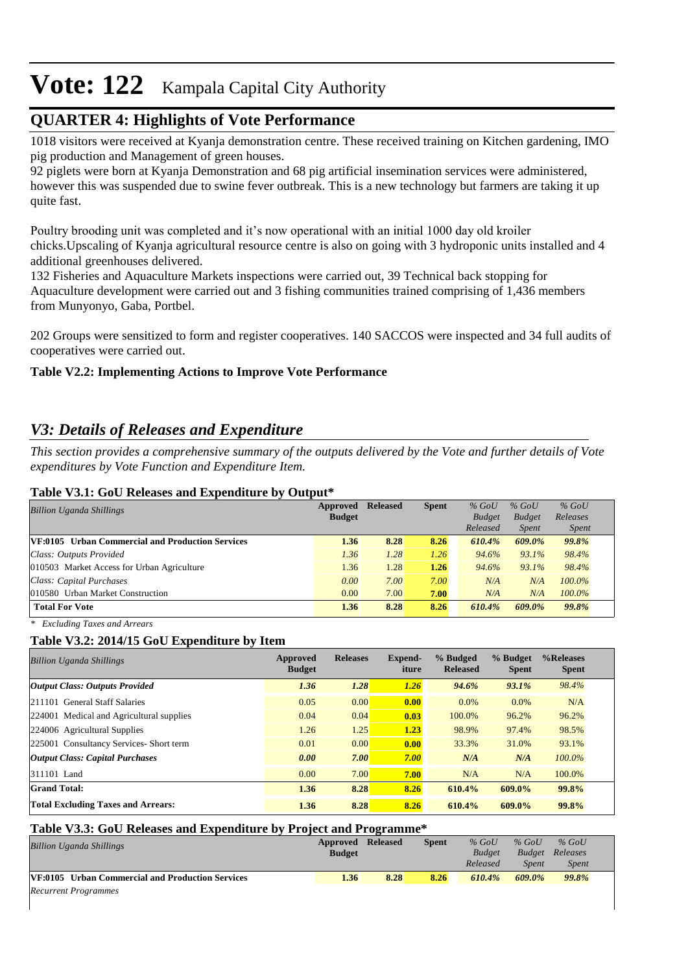## **QUARTER 4: Highlights of Vote Performance**

1018 visitors were received at Kyanja demonstration centre. These received training on Kitchen gardening, IMO pig production and Management of green houses.

92 piglets were born at Kyanja Demonstration and 68 pig artificial insemination services were administered, however this was suspended due to swine fever outbreak. This is a new technology but farmers are taking it up quite fast.

Poultry brooding unit was completed and it's now operational with an initial 1000 day old kroiler chicks.Upscaling of Kyanja agricultural resource centre is also on going with 3 hydroponic units installed and 4 additional greenhouses delivered.

132 Fisheries and Aquaculture Markets inspections were carried out, 39 Technical back stopping for Aquaculture development were carried out and 3 fishing communities trained comprising of 1,436 members from Munyonyo, Gaba, Portbel.

202 Groups were sensitized to form and register cooperatives. 140 SACCOS were inspected and 34 full audits of cooperatives were carried out.

#### **Table V2.2: Implementing Actions to Improve Vote Performance**

## *V3: Details of Releases and Expenditure*

*This section provides a comprehensive summary of the outputs delivered by the Vote and further details of Vote expenditures by Vote Function and Expenditure Item.*

#### **Table V3.1: GoU Releases and Expenditure by Output\***

| <b>Billion Uganda Shillings</b>                         | Approved<br><b>Budget</b> | <b>Released</b> | <b>Spent</b> | $%$ GoU<br><b>Budget</b> | $%$ GoU<br><b>Budget</b> | $%$ GoU<br>Releases |  |
|---------------------------------------------------------|---------------------------|-----------------|--------------|--------------------------|--------------------------|---------------------|--|
|                                                         |                           |                 |              | Released                 | <i>Spent</i>             | <i>Spent</i>        |  |
| <b>VF:0105</b> Urban Commercial and Production Services | 1.36                      | 8.28            | 8.26         | 610.4%                   | 609.0%                   | 99.8%               |  |
| Class: Outputs Provided                                 | 1.36                      | 1.28            | 1.26         | 94.6%                    | 93.1%                    | 98.4%               |  |
| 010503 Market Access for Urban Agriculture              | 1.36                      | 1.28            | 1.26         | 94.6%                    | 93.1%                    | 98.4%               |  |
| Class: Capital Purchases                                | 0.00                      | 7.00            | 7.00         | N/A                      | N/A                      | $100.0\%$           |  |
| 010580 Urban Market Construction                        | 0.00                      | 7.00            | 7.00         | N/A                      | N/A                      | $100.0\%$           |  |
| <b>Total For Vote</b>                                   | 1.36                      | 8.28            | 8.26         | 610.4%                   | 609.0%                   | 99.8%               |  |

*\* Excluding Taxes and Arrears*

#### **Table V3.2: 2014/15 GoU Expenditure by Item**

| <b>Billion Uganda Shillings</b>           | Approved<br><b>Budget</b> | <b>Releases</b> | Expend-<br>iture | % Budged<br><b>Released</b> | % Budget<br><b>Spent</b> | %Releases<br><b>Spent</b> |
|-------------------------------------------|---------------------------|-----------------|------------------|-----------------------------|--------------------------|---------------------------|
| <b>Output Class: Outputs Provided</b>     | 1.36                      | 1.28            | 1.26             | 94.6%                       | 93.1%                    | 98.4%                     |
| 211101 General Staff Salaries             | 0.05                      | 0.00            | 0.00             | $0.0\%$                     | $0.0\%$                  | N/A                       |
| 224001 Medical and Agricultural supplies  | 0.04                      | 0.04            | 0.03             | 100.0%                      | 96.2%                    | 96.2%                     |
| 224006 Agricultural Supplies              | 1.26                      | 1.25            | 1.23             | 98.9%                       | 97.4%                    | 98.5%                     |
| 225001 Consultancy Services- Short term   | 0.01                      | 0.00            | 0.00             | 33.3%                       | 31.0%                    | 93.1%                     |
| Output Class: Capital Purchases           | 0.00                      | 7.00            | 7.00             | N/A                         | N/A                      | $100.0\%$                 |
| 311101 Land                               | 0.00                      | 7.00            | 7.00             | N/A                         | N/A                      | 100.0%                    |
| <b>Grand Total:</b>                       | 1.36                      | 8.28            | 8.26             | 610.4%                      | 609.0%                   | 99.8%                     |
| <b>Total Excluding Taxes and Arrears:</b> | 1.36                      | 8.28            | 8.26             | 610.4%                      | $609.0\%$                | 99.8%                     |

#### **Table V3.3: GoU Releases and Expenditure by Project and Programme\***

| <b>Billion Uganda Shillings</b>                  | Approved      | Released | <b>Spent</b> | $%$ GoU       | $%$ GoU       | $%$ GoU      |  |
|--------------------------------------------------|---------------|----------|--------------|---------------|---------------|--------------|--|
|                                                  | <b>Budget</b> |          |              | <b>Budget</b> | <b>Budget</b> | Releases     |  |
|                                                  |               |          |              | Released      | Spent         | <b>Spent</b> |  |
| VF:0105 Urban Commercial and Production Services | 1.36          | 8.28     | 8.26         | 610.4%        | 609.0%        | 99.8%        |  |
| <b>Recurrent Programmes</b>                      |               |          |              |               |               |              |  |